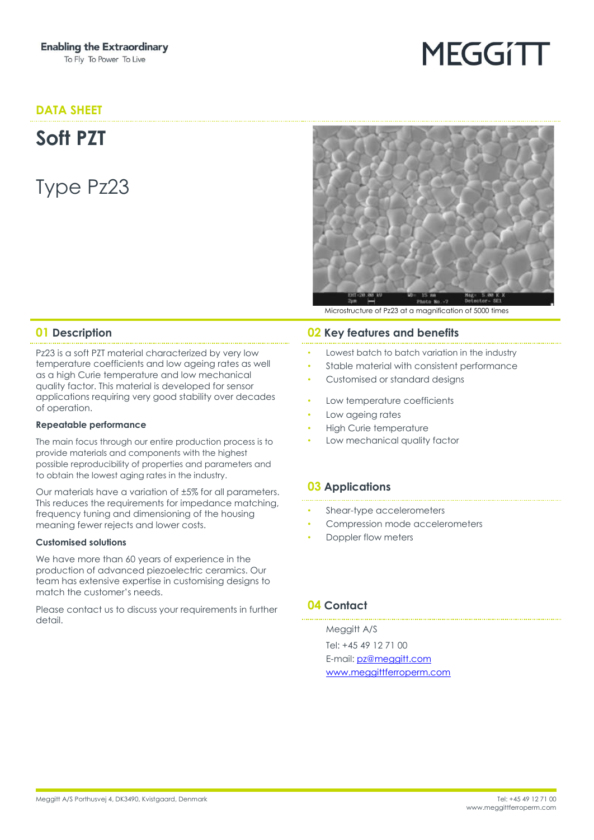### **DATA SHEET**

**Soft PZT**

Type Pz23



**MEGGITT** 

Microstructure of Pz23 at a magnification of 5000 times

Pz23 is a soft PZT material characterized by very low temperature coefficients and low ageing rates as well as a high Curie temperature and low mechanical quality factor. This material is developed for sensor applications requiring very good stability over decades of operation.

#### **Repeatable performance**

The main focus through our entire production process is to provide materials and components with the highest possible reproducibility of properties and parameters and to obtain the lowest aging rates in the industry.

Our materials have a variation of ±5% for all parameters. This reduces the requirements for impedance matching, frequency tuning and dimensioning of the housing meaning fewer rejects and lower costs.

#### **Customised solutions**

We have more than 60 years of experience in the production of advanced piezoelectric ceramics. Our team has extensive expertise in customising designs to match the customer's needs.

Please contact us to discuss your requirements in further detail.

#### **01 Description 02 Key features and benefits**

- Lowest batch to batch variation in the industry
- Stable material with consistent performance
- Customised or standard designs
- Low temperature coefficients
- Low ageing rates
- High Curie temperature
- Low mechanical quality factor

#### **03 Applications**

- Shear-type accelerometers
- Compression mode accelerometers
- Doppler flow meters

#### **04 Contact**

Meggitt A/S Tel: +45 49 12 71 00 E-mail: [pz@meggitt.com](mailto:pz@meggitt.com) [www.meggittferroperm.com](http://www.meggittferroperm.com/)